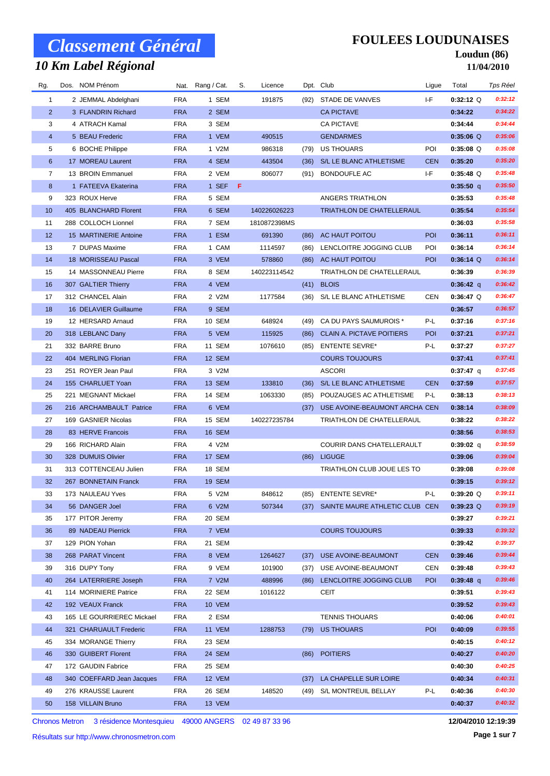## *10 Km Label Régional*

### **FOULEES LOUDUNAISES**

#### **Loudun (86) 11/04/2010**

| Rg.            | Dos. NOM Prénom           |            | Nat. Rang / Cat. | S. | Licence      |      | Dpt. Club                        | Ligue      | Total       | Tps Réel |
|----------------|---------------------------|------------|------------------|----|--------------|------|----------------------------------|------------|-------------|----------|
| 1              | 2 JEMMAL Abdelghani       | <b>FRA</b> | 1 SEM            |    | 191875       | (92) | STADE DE VANVES                  | I-F        | $0:32:12$ Q | 0:32:12  |
| $\overline{2}$ | 3 FLANDRIN Richard        | <b>FRA</b> | 2 SEM            |    |              |      | <b>CA PICTAVE</b>                |            | 0:34:22     | 0:34:22  |
| 3              | 4 ATRACH Kamal            | <b>FRA</b> | 3 SEM            |    |              |      | <b>CA PICTAVE</b>                |            | 0:34:44     | 0:34:44  |
| $\overline{4}$ | 5 BEAU Frederic           | <b>FRA</b> | 1 VEM            |    | 490515       |      | <b>GENDARMES</b>                 |            | $0:35:06$ Q | 0:35:06  |
| 5              | 6 BOCHE Philippe          | <b>FRA</b> | 1 V2M            |    | 986318       | (79) | US THOUARS                       | POI        | $0:35:08$ Q | 0:35:08  |
| 6              | 17 MOREAU Laurent         | <b>FRA</b> | 4 SEM            |    | 443504       | (36) | S/L LE BLANC ATHLETISME          | <b>CEN</b> | 0:35:20     | 0:35:20  |
| 7              | 13 BROIN Emmanuel         | <b>FRA</b> | 2 VEM            |    | 806077       | (91) | BONDOUFLE AC                     | I-F        | $0:35:48$ Q | 0:35:48  |
| 8              | 1 FATEEVA Ekaterina       | <b>FRA</b> | 1 SEF F          |    |              |      |                                  |            | $0:35:50$ q | 0:35:50  |
| 9              | 323 ROUX Herve            | <b>FRA</b> | 5 SEM            |    |              |      | ANGERS TRIATHLON                 |            | 0:35:53     | 0:35:48  |
| 10             | 405 BLANCHARD Florent     | <b>FRA</b> | 6 SEM            |    | 140226026223 |      | TRIATHLON DE CHATELLERAUL        |            | 0:35:54     | 0:35:54  |
| 11             | 288 COLLOCH Lionnel       | <b>FRA</b> | 7 SEM            |    | 1810872398MS |      |                                  |            | 0:36:03     | 0:35:58  |
| 12             | 15 MARTINERIE Antoine     | <b>FRA</b> | 1 ESM            |    | 691390       |      | (86) AC HAUT POITOU              | POI        | 0:36:11     | 0:36:11  |
| 13             | 7 DUPAS Maxime            | <b>FRA</b> | 1 CAM            |    | 1114597      | (86) | LENCLOITRE JOGGING CLUB          | POI        | 0:36:14     | 0:36:14  |
| 14             | 18 MORISSEAU Pascal       | <b>FRA</b> | 3 VEM            |    | 578860       | (86) | AC HAUT POITOU                   | POI        | $0:36:14$ Q | 0:36:14  |
| 15             | 14 MASSONNEAU Pierre      | <b>FRA</b> | 8 SEM            |    | 140223114542 |      | TRIATHLON DE CHATELLERAUL        |            | 0:36:39     | 0:36:39  |
| 16             | 307 GALTIER Thierry       | <b>FRA</b> | 4 VEM            |    |              |      | $(41)$ BLOIS                     |            | $0:36:42$ q | 0:36:42  |
| 17             | 312 CHANCEL Alain         | <b>FRA</b> | 2 V2M            |    | 1177584      |      | (36) S/L LE BLANC ATHLETISME     | <b>CEN</b> | $0:36:47$ Q | 0:36:47  |
| 18             | 16 DELAVIER Guillaume     | <b>FRA</b> | 9 SEM            |    |              |      |                                  |            | 0:36:57     | 0:36:57  |
| 19             | 12 HERSARD Arnaud         | <b>FRA</b> | 10 SEM           |    | 648924       | (49) | CA DU PAYS SAUMUROIS *           | P-L        | 0:37:16     | 0:37:16  |
| 20             | 318 LEBLANC Dany          | <b>FRA</b> | 5 VEM            |    | 115925       | (86) | <b>CLAIN A. PICTAVE POITIERS</b> | POI        | 0:37:21     | 0:37:21  |
| 21             | 332 BARRE Bruno           | <b>FRA</b> | <b>11 SEM</b>    |    | 1076610      | (85) | <b>ENTENTE SEVRE*</b>            | P-L        | 0:37:27     | 0:37:27  |
| 22             | 404 MERLING Florian       | <b>FRA</b> | 12 SEM           |    |              |      | <b>COURS TOUJOURS</b>            |            | 0:37:41     | 0:37:41  |
| 23             | 251 ROYER Jean Paul       | <b>FRA</b> | 3 V2M            |    |              |      | <b>ASCORI</b>                    |            | $0:37:47$ q | 0:37:45  |
| 24             | 155 CHARLUET Yoan         | <b>FRA</b> | 13 SEM           |    | 133810       | (36) | S/L LE BLANC ATHLETISME          | <b>CEN</b> | 0:37:59     | 0:37:57  |
| 25             | 221 MEGNANT Mickael       | <b>FRA</b> | 14 SEM           |    | 1063330      | (85) | POUZAUGES AC ATHLETISME          | P-L        | 0:38:13     | 0:38:13  |
| 26             | 216 ARCHAMBAULT Patrice   | <b>FRA</b> | 6 VEM            |    |              | (37) | USE AVOINE-BEAUMONT ARCHA CEN    |            | 0:38:14     | 0:38:09  |
| 27             | 169 GASNIER Nicolas       | <b>FRA</b> | 15 SEM           |    | 140227235784 |      | TRIATHLON DE CHATELLERAUL        |            | 0:38:22     | 0:38:22  |
| 28             | 83 HERVE Francois         | <b>FRA</b> | 16 SEM           |    |              |      |                                  |            | 0:38:56     | 0:38:53  |
| 29             | 166 RICHARD Alain         | <b>FRA</b> | 4 V2M            |    |              |      | COURIR DANS CHATELLERAULT        |            | 0:39:02 q   | 0:38:59  |
| 30             | 328 DUMUIS Olivier        | <b>FRA</b> | 17 SEM           |    |              |      | (86) LIGUGE                      |            | 0:39:06     | 0:39:04  |
| 31             | 313 COTTENCEAU Julien     | <b>FRA</b> | 18 SEM           |    |              |      | TRIATHLON CLUB JOUE LES TO       |            | 0:39:08     | 0:39:08  |
| 32             | 267 BONNETAIN Franck      | <b>FRA</b> | 19 SEM           |    |              |      |                                  |            | 0:39:15     | 0:39:12  |
| 33             | 173 NAULEAU Yves          | <b>FRA</b> | 5 V2M            |    | 848612       |      | (85) ENTENTE SEVRE*              | P-L        | $0:39:20$ Q | 0:39:11  |
| 34             | 56 DANGER Joel            | <b>FRA</b> | 6 V2M            |    | 507344       | (37) | SAINTE MAURE ATHLETIC CLUB CEN   |            | $0:39:23$ Q | 0:39:19  |
| 35             | 177 PITOR Jeremy          | <b>FRA</b> | 20 SEM           |    |              |      |                                  |            | 0:39:27     | 0:39:21  |
| 36             | 89 NADEAU Pierrick        | <b>FRA</b> | 7 VEM            |    |              |      | <b>COURS TOUJOURS</b>            |            | 0:39:33     | 0:39:32  |
| 37             | 129 PION Yohan            | <b>FRA</b> | 21 SEM           |    |              |      |                                  |            | 0:39:42     | 0:39:37  |
| 38             | 268 PARAT Vincent         | <b>FRA</b> | 8 VEM            |    | 1264627      | (37) | USE AVOINE-BEAUMONT              | <b>CEN</b> | 0:39:46     | 0:39:44  |
| 39             | 316 DUPY Tony             | <b>FRA</b> | 9 VEM            |    | 101900       | (37) | USE AVOINE-BEAUMONT              | <b>CEN</b> | 0:39:48     | 0:39:43  |
| 40             | 264 LATERRIERE Joseph     | <b>FRA</b> | 7 V2M            |    | 488996       | (86) | LENCLOITRE JOGGING CLUB          | <b>POI</b> | $0:39:48$ q | 0:39:46  |
|                | 114 MORINIERE Patrice     | <b>FRA</b> | 22 SEM           |    | 1016122      |      | CEIT                             |            | 0:39:51     | 0:39:43  |
| 41<br>42       | 192 VEAUX Franck          | <b>FRA</b> | 10 VEM           |    |              |      |                                  |            | 0:39:52     | 0:39:43  |
|                | 165 LE GOURRIEREC Mickael | <b>FRA</b> | 2 ESM            |    |              |      | <b>TENNIS THOUARS</b>            |            | 0:40:06     | 0:40:01  |
| 43<br>44       | 321 CHARUAULT Frederic    | <b>FRA</b> | 11 VEM           |    | 1288753      | (79) | <b>US THOUARS</b>                | <b>POI</b> | 0:40:09     | 0:39:55  |
|                | 334 MORANGE Thierry       | <b>FRA</b> | 23 SEM           |    |              |      |                                  |            | 0:40:15     | 0:40:12  |
| 45<br>46       | 330 GUIBERT Florent       | <b>FRA</b> | 24 SEM           |    |              | (86) | <b>POITIERS</b>                  |            | 0:40:27     | 0:40:20  |
| 47             | 172 GAUDIN Fabrice        | <b>FRA</b> | 25 SEM           |    |              |      |                                  |            | 0:40:30     | 0:40:25  |
| 48             | 340 COEFFARD Jean Jacques | <b>FRA</b> | 12 VEM           |    |              |      | (37) LA CHAPELLE SUR LOIRE       |            | 0:40:34     | 0:40:31  |
| 49             | 276 KRAUSSE Laurent       | <b>FRA</b> | 26 SEM           |    | 148520       | (49) | S/L MONTREUIL BELLAY             | P-L        | 0:40:36     | 0:40:30  |
| 50             | 158 VILLAIN Bruno         | <b>FRA</b> | 13 VEM           |    |              |      |                                  |            | 0:40:37     | 0:40:32  |
|                |                           |            |                  |    |              |      |                                  |            |             |          |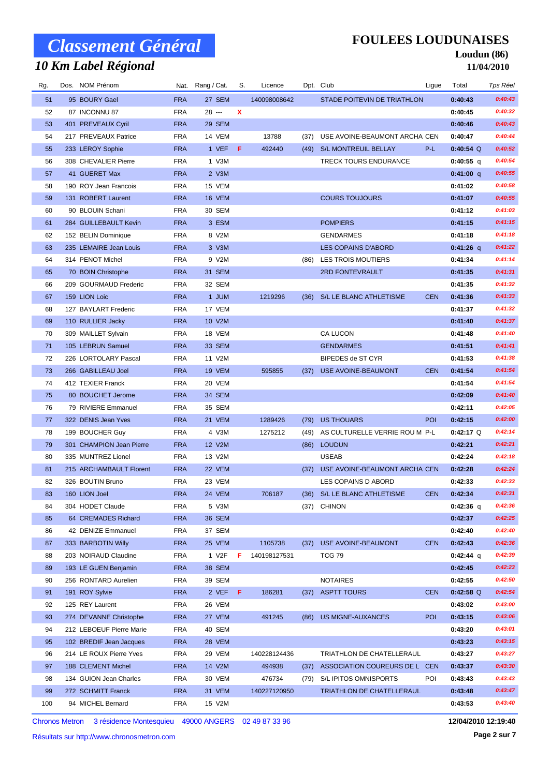## *10 Km Label Régional*

### **FOULEES LOUDUNAISES**

#### **Loudun (86) 11/04/2010**

| Rg. | Dos. | NOM Prénom               |            | Nat. Rang / Cat. | S.          | Licence      |      | Dpt. Club                      | Ligue      | Total       | Tps Réel |
|-----|------|--------------------------|------------|------------------|-------------|--------------|------|--------------------------------|------------|-------------|----------|
| 51  |      | 95 BOURY Gael            | <b>FRA</b> | 27 SEM           |             | 140098008642 |      | STADE POITEVIN DE TRIATHLON    |            | 0:40:43     | 0:40:43  |
| 52  |      | 87 INCONNU 87            | <b>FRA</b> | 28 ---           | $\mathbf x$ |              |      |                                |            | 0:40:45     | 0:40:32  |
| 53  |      | 401 PREVEAUX Cyril       | <b>FRA</b> | 29 SEM           |             |              |      |                                |            | 0:40:46     | 0:40:43  |
| 54  |      | 217 PREVEAUX Patrice     | <b>FRA</b> | 14 VEM           |             | 13788        | (37) | USE AVOINE-BEAUMONT ARCHA CEN  |            | 0:40:47     | 0:40:44  |
| 55  |      | 233 LEROY Sophie         | <b>FRA</b> | $1 VEF$ F        |             | 492440       |      | (49) S/L MONTREUIL BELLAY      | P-L        | $0:40:54$ Q | 0:40:52  |
| 56  |      | 308 CHEVALIER Pierre     | <b>FRA</b> | 1 V3M            |             |              |      | <b>TRECK TOURS ENDURANCE</b>   |            | $0:40:55$ q | 0:40:54  |
| 57  |      | 41 GUERET Max            | <b>FRA</b> | 2 V3M            |             |              |      |                                |            | $0:41:00$ q | 0:40:55  |
| 58  |      | 190 ROY Jean Francois    | <b>FRA</b> | 15 VEM           |             |              |      |                                |            | 0:41:02     | 0:40:58  |
| 59  |      | 131 ROBERT Laurent       | <b>FRA</b> | 16 VEM           |             |              |      | <b>COURS TOUJOURS</b>          |            | 0:41:07     | 0:40:55  |
| 60  |      | 90 BLOUIN Schani         | <b>FRA</b> | 30 SEM           |             |              |      |                                |            | 0:41:12     | 0:41:03  |
| 61  |      | 284 GUILLEBAULT Kevin    | <b>FRA</b> | 3 ESM            |             |              |      | <b>POMPIERS</b>                |            | 0:41:15     | 0:41:15  |
| 62  |      | 152 BELIN Dominique      | <b>FRA</b> | 8 V2M            |             |              |      | <b>GENDARMES</b>               |            | 0:41:18     | 0:41:18  |
| 63  |      | 235 LEMAIRE Jean Louis   | <b>FRA</b> | 3 V3M            |             |              |      | LES COPAINS D'ABORD            |            | $0:41:26$ q | 0:41:22  |
| 64  |      | 314 PENOT Michel         | <b>FRA</b> | 9 V2M            |             |              | (86) | LES TROIS MOUTIERS             |            | 0:41:34     | 0:41:14  |
| 65  |      | 70 BOIN Christophe       | <b>FRA</b> | 31 SEM           |             |              |      | 2RD FONTEVRAULT                |            | 0:41:35     | 0:41:31  |
| 66  |      | 209 GOURMAUD Frederic    | <b>FRA</b> | 32 SEM           |             |              |      |                                |            | 0:41:35     | 0:41:32  |
| 67  |      | 159 LION Loic            | <b>FRA</b> | 1 JUM            |             | 1219296      | (36) | S/L LE BLANC ATHLETISME        | <b>CEN</b> | 0:41:36     | 0:41:33  |
| 68  |      | 127 BAYLART Frederic     | <b>FRA</b> | 17 VEM           |             |              |      |                                |            | 0:41:37     | 0:41:32  |
| 69  |      | 110 RULLIER Jacky        | <b>FRA</b> | 10 V2M           |             |              |      |                                |            | 0:41:40     | 0:41:37  |
| 70  |      | 309 MAILLET Sylvain      | <b>FRA</b> | 18 VEM           |             |              |      | <b>CA LUCON</b>                |            | 0:41:48     | 0:41:40  |
| 71  |      | 105 LEBRUN Samuel        | <b>FRA</b> | 33 SEM           |             |              |      | <b>GENDARMES</b>               |            | 0:41:51     | 0:41:41  |
| 72  |      | 226 LORTOLARY Pascal     | <b>FRA</b> | 11 V2M           |             |              |      | BIPEDES de ST CYR              |            | 0:41:53     | 0:41:38  |
| 73  |      | 266 GABILLEAU Joel       | <b>FRA</b> | 19 VEM           |             | 595855       | (37) | USE AVOINE-BEAUMONT            | <b>CEN</b> | 0:41:54     | 0:41:54  |
| 74  |      | 412 TEXIER Franck        | <b>FRA</b> | 20 VEM           |             |              |      |                                |            | 0:41:54     | 0:41:54  |
| 75  |      | 80 BOUCHET Jerome        | <b>FRA</b> | 34 SEM           |             |              |      |                                |            | 0:42:09     | 0:41:40  |
| 76  |      | 79 RIVIERE Emmanuel      | <b>FRA</b> | 35 SEM           |             |              |      |                                |            | 0:42:11     | 0:42:05  |
| 77  |      | 322 DENIS Jean Yves      | <b>FRA</b> | 21 VEM           |             | 1289426      | (79) | <b>US THOUARS</b>              | <b>POI</b> | 0:42:15     | 0:42:00  |
| 78  |      | 199 BOUCHER Guy          | <b>FRA</b> | 4 V3M            |             | 1275212      | (49) | AS CULTURELLE VERRIE ROU M P-L |            | $0:42:17$ Q | 0:42:14  |
| 79  |      | 301 CHAMPION Jean Pierre | <b>FRA</b> | 12 V2M           |             |              |      | (86) LOUDUN                    |            | 0:42:21     | 0:42:21  |
| 80  |      | 335 MUNTREZ Lionel       | <b>FRA</b> | 13 V2M           |             |              |      | <b>USEAB</b>                   |            | 0:42:24     | 0:42:18  |
| 81  |      | 215 ARCHAMBAULT Florent  | <b>FRA</b> | 22 VEM           |             |              | (37) | USE AVOINE-BEAUMONT ARCHA CEN  |            | 0:42:28     | 0:42:24  |
| 82  |      | 326 BOUTIN Bruno         | <b>FRA</b> | 23 VEM           |             |              |      | LES COPAINS D ABORD            |            | 0:42:33     | 0:42:33  |
| 83  |      | 160 LION Joel            | <b>FRA</b> | 24 VEM           |             | 706187       |      | (36) S/L LE BLANC ATHLETISME   | <b>CEN</b> | 0:42:34     | 0:42:31  |
| 84  |      | 304 HODET Claude         | <b>FRA</b> | 5 V3M            |             |              |      | (37) CHINON                    |            | $0:42:36$ q | 0:42:36  |
| 85  |      | 64 CREMADES Richard      | <b>FRA</b> | 36 SEM           |             |              |      |                                |            | 0:42:37     | 0:42:25  |
| 86  |      | 42 DENIZE Emmanuel       | <b>FRA</b> | 37 SEM           |             |              |      |                                |            | 0:42:40     | 0:42:40  |
| 87  |      | 333 BARBOTIN Willy       | <b>FRA</b> | 25 VEM           |             | 1105738      | (37) | USE AVOINE-BEAUMONT            | <b>CEN</b> | 0:42:43     | 0:42:36  |
| 88  |      | 203 NOIRAUD Claudine     | <b>FRA</b> | 1 V2F            | F           | 140198127531 |      | <b>TCG 79</b>                  |            | $0:42:44$ q | 0:42:39  |
| 89  |      | 193 LE GUEN Benjamin     | <b>FRA</b> | <b>38 SEM</b>    |             |              |      |                                |            | 0:42:45     | 0:42:23  |
| 90  |      | 256 RONTARD Aurelien     | <b>FRA</b> | 39 SEM           |             |              |      | <b>NOTAIRES</b>                |            | 0:42:55     | 0:42:50  |
| 91  |      | 191 ROY Sylvie           | <b>FRA</b> | $2 VEF$ $F$      |             | 186281       | (37) | <b>ASPTT TOURS</b>             | <b>CEN</b> | $0:42:58$ Q | 0:42:54  |
| 92  |      | 125 REY Laurent          | <b>FRA</b> | 26 VEM           |             |              |      |                                |            | 0:43:02     | 0:43:00  |
| 93  |      | 274 DEVANNE Christophe   | <b>FRA</b> | 27 VEM           |             | 491245       | (86) | <b>US MIGNE-AUXANCES</b>       | POI        | 0:43:15     | 0:43:06  |
| 94  |      | 212 LEBOEUF Pierre Marie | <b>FRA</b> | 40 SEM           |             |              |      |                                |            | 0:43:20     | 0:43:01  |
| 95  |      | 102 BREDIF Jean Jacques  | <b>FRA</b> | 28 VEM           |             |              |      |                                |            | 0:43:23     | 0:43:15  |
| 96  |      | 214 LE ROUX Pierre Yves  | <b>FRA</b> | 29 VEM           |             | 140228124436 |      | TRIATHLON DE CHATELLERAUL      |            | 0:43:27     | 0:43:27  |
| 97  |      | 188 CLEMENT Michel       | <b>FRA</b> | 14 V2M           |             | 494938       | (37) | ASSOCIATION COUREURS DE L CEN  |            | 0:43:37     | 0:43:30  |
| 98  |      | 134 GUION Jean Charles   | <b>FRA</b> | 30 VEM           |             | 476734       | (79) | S/L IPITOS OMNISPORTS          | POI        | 0:43:43     | 0:43:43  |
| 99  |      | 272 SCHMITT Franck       | <b>FRA</b> | 31 VEM           |             | 140227120950 |      | TRIATHLON DE CHATELLERAUL      |            | 0:43:48     | 0:43:47  |
| 100 |      | 94 MICHEL Bernard        | <b>FRA</b> | 15 V2M           |             |              |      |                                |            | 0:43:53     | 0:43:40  |
|     |      |                          |            |                  |             |              |      |                                |            |             |          |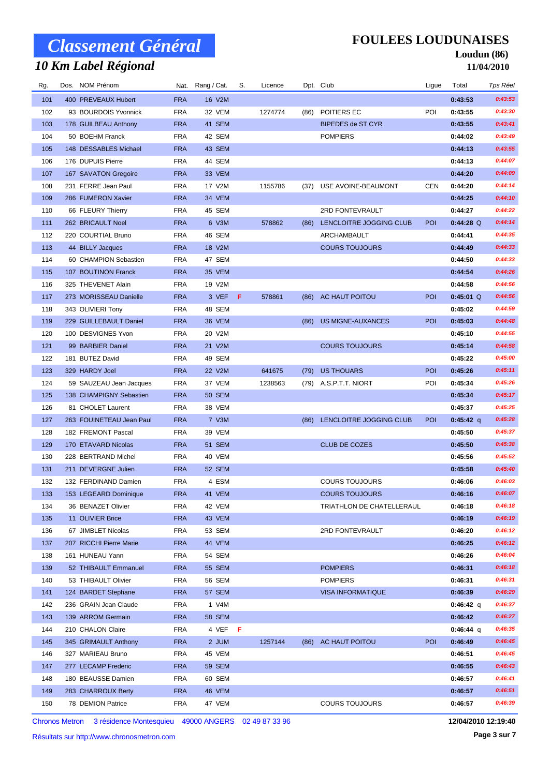## *10 Km Label Régional*

### **FOULEES LOUDUNAISES**

#### **Loudun (86) 11/04/2010**

| Rg. | Dos. NOM Prénom          |            | Nat. Rang / Cat. | S. | Licence |      | Dpt. Club                 | Ligue      | Total       | Tps Réel |
|-----|--------------------------|------------|------------------|----|---------|------|---------------------------|------------|-------------|----------|
| 101 | 400 PREVEAUX Hubert      | <b>FRA</b> | 16 V2M           |    |         |      |                           |            | 0:43:53     | 0:43:53  |
| 102 | 93 BOURDOIS Yvonnick     | <b>FRA</b> | 32 VEM           |    | 1274774 | (86) | POITIERS EC               | POI        | 0:43:55     | 0:43:30  |
| 103 | 178 GUILBEAU Anthony     | <b>FRA</b> | 41 SEM           |    |         |      | <b>BIPEDES de ST CYR</b>  |            | 0:43:55     | 0:43:41  |
| 104 | 50 BOEHM Franck          | <b>FRA</b> | 42 SEM           |    |         |      | <b>POMPIERS</b>           |            | 0:44:02     | 0:43:49  |
| 105 | 148 DESSABLES Michael    | <b>FRA</b> | 43 SEM           |    |         |      |                           |            | 0:44:13     | 0:43:55  |
| 106 | 176 DUPUIS Pierre        | <b>FRA</b> | 44 SEM           |    |         |      |                           |            | 0:44:13     | 0:44:07  |
| 107 | 167 SAVATON Gregoire     | <b>FRA</b> | 33 VEM           |    |         |      |                           |            | 0:44:20     | 0:44:09  |
| 108 | 231 FERRE Jean Paul      | <b>FRA</b> | 17 V2M           |    | 1155786 | (37) | USE AVOINE-BEAUMONT       | <b>CEN</b> | 0:44:20     | 0:44:14  |
| 109 | 286 FUMERON Xavier       | <b>FRA</b> | 34 VEM           |    |         |      |                           |            | 0:44:25     | 0:44:10  |
| 110 | 66 FLEURY Thierry        | <b>FRA</b> | 45 SEM           |    |         |      | 2RD FONTEVRAULT           |            | 0:44:27     | 0:44:22  |
| 111 | 262 BRICAULT Noel        | <b>FRA</b> | 6 V3M            |    | 578862  | (86) | LENCLOITRE JOGGING CLUB   | POI        | $0:44:28$ Q | 0:44:14  |
| 112 | 220 COURTIAL Bruno       | <b>FRA</b> | 46 SEM           |    |         |      | ARCHAMBAULT               |            | 0:44:41     | 0:44:35  |
| 113 | 44 BILLY Jacques         | <b>FRA</b> | 18 V2M           |    |         |      | <b>COURS TOUJOURS</b>     |            | 0:44:49     | 0:44:33  |
| 114 | 60 CHAMPION Sebastien    | <b>FRA</b> | 47 SEM           |    |         |      |                           |            | 0:44:50     | 0:44:33  |
| 115 | 107 BOUTINON Franck      | <b>FRA</b> | 35 VEM           |    |         |      |                           |            | 0:44:54     | 0:44:26  |
| 116 | 325 THEVENET Alain       | <b>FRA</b> | 19 V2M           |    |         |      |                           |            | 0:44:58     | 0:44:56  |
| 117 | 273 MORISSEAU Danielle   | <b>FRA</b> | 3 VEF            | Æ  | 578861  | (86) | AC HAUT POITOU            | POI        | $0:45:01$ Q | 0:44:56  |
| 118 | 343 OLIVIERI Tony        | <b>FRA</b> | 48 SEM           |    |         |      |                           |            | 0:45:02     | 0:44:59  |
| 119 | 229 GUILLEBAULT Daniel   | <b>FRA</b> | 36 VEM           |    |         | (86) | <b>US MIGNE-AUXANCES</b>  | POI        | 0:45:03     | 0:44:48  |
| 120 | 100 DESVIGNES Yvon       | <b>FRA</b> | 20 V2M           |    |         |      |                           |            | 0:45:10     | 0:44:55  |
| 121 | 99 BARBIER Daniel        | <b>FRA</b> | 21 V2M           |    |         |      | <b>COURS TOUJOURS</b>     |            | 0:45:14     | 0:44:58  |
| 122 | 181 BUTEZ David          | <b>FRA</b> | 49 SEM           |    |         |      |                           |            | 0:45:22     | 0:45:00  |
| 123 | 329 HARDY Joel           | <b>FRA</b> | 22 V2M           |    | 641675  | (79) | <b>US THOUARS</b>         | POI        | 0:45:26     | 0:45:11  |
| 124 | 59 SAUZEAU Jean Jacques  | <b>FRA</b> | 37 VEM           |    | 1238563 | (79) | A.S.P.T.T. NIORT          | POI        | 0:45:34     | 0:45:26  |
| 125 | 138 CHAMPIGNY Sebastien  | <b>FRA</b> | <b>50 SEM</b>    |    |         |      |                           |            | 0:45:34     | 0:45:17  |
| 126 | 81 CHOLET Laurent        | <b>FRA</b> | 38 VEM           |    |         |      |                           |            | 0:45:37     | 0:45:25  |
| 127 | 263 FOUINETEAU Jean Paul | <b>FRA</b> | 7 V3M            |    |         | (86) | LENCLOITRE JOGGING CLUB   | POI        | $0:45:42$ q | 0:45:28  |
| 128 | 182 FREMONT Pascal       | <b>FRA</b> | 39 VEM           |    |         |      |                           |            | 0:45:50     | 0:45:37  |
| 129 | 170 ETAVARD Nicolas      | <b>FRA</b> | 51 SEM           |    |         |      | <b>CLUB DE COZES</b>      |            | 0:45:50     | 0:45:38  |
| 130 | 228 BERTRAND Michel      | <b>FRA</b> | 40 VEM           |    |         |      |                           |            | 0:45:56     | 0:45:52  |
| 131 | 211 DEVERGNE Julien      | <b>FRA</b> | 52 SEM           |    |         |      |                           |            | 0:45:58     | 0:45:40  |
| 132 | 132 FERDINAND Damien     | <b>FRA</b> | 4 ESM            |    |         |      | <b>COURS TOUJOURS</b>     |            | 0:46:06     | 0:46:03  |
| 133 | 153 LEGEARD Dominique    | <b>FRA</b> | 41 VEM           |    |         |      | <b>COURS TOUJOURS</b>     |            | 0:46:16     | 0:46:07  |
| 134 | 36 BENAZET Olivier       | FRA        | 42 VEM           |    |         |      | TRIATHLON DE CHATELLERAUL |            | 0:46:18     | 0:46:18  |
| 135 | 11 OLIVIER Brice         | <b>FRA</b> | 43 VEM           |    |         |      |                           |            | 0:46:19     | 0:46:19  |
| 136 | 67 JIMBLET Nicolas       | <b>FRA</b> | 53 SEM           |    |         |      | 2RD FONTEVRAULT           |            | 0:46:20     | 0:46:12  |
| 137 | 207 RICCHI Pierre Marie  | <b>FRA</b> | 44 VEM           |    |         |      |                           |            | 0:46:25     | 0:46:12  |
| 138 | 161 HUNEAU Yann          | <b>FRA</b> | 54 SEM           |    |         |      |                           |            | 0:46:26     | 0:46:04  |
| 139 | 52 THIBAULT Emmanuel     | <b>FRA</b> | 55 SEM           |    |         |      | <b>POMPIERS</b>           |            | 0:46:31     | 0:46:18  |
| 140 | 53 THIBAULT Olivier      | <b>FRA</b> | 56 SEM           |    |         |      | <b>POMPIERS</b>           |            | 0:46:31     | 0:46:31  |
| 141 | 124 BARDET Stephane      | <b>FRA</b> | 57 SEM           |    |         |      | <b>VISA INFORMATIQUE</b>  |            | 0:46:39     | 0:46:29  |
| 142 | 236 GRAIN Jean Claude    | <b>FRA</b> | 1 V4M            |    |         |      |                           |            | 0:46:42 q   | 0:46:37  |
| 143 | 139 ARROM Germain        | <b>FRA</b> | 58 SEM           |    |         |      |                           |            | 0:46:42     | 0:46:27  |
| 144 | 210 CHALON Claire        | <b>FRA</b> | 4 VEF F          |    |         |      |                           |            | $0:46:44$ q | 0:46:35  |
| 145 | 345 GRIMAULT Anthony     | <b>FRA</b> | 2 JUM            |    | 1257144 |      | (86) AC HAUT POITOU       | POI        | 0:46:49     | 0:46:45  |
| 146 | 327 MARIEAU Bruno        | <b>FRA</b> | 45 VEM           |    |         |      |                           |            | 0:46:51     | 0:46:45  |
| 147 | 277 LECAMP Frederic      | <b>FRA</b> | 59 SEM           |    |         |      |                           |            | 0:46:55     | 0:46:43  |
| 148 | 180 BEAUSSE Damien       | <b>FRA</b> | 60 SEM           |    |         |      |                           |            | 0:46:57     | 0:46:41  |
| 149 | 283 CHARROUX Berty       | <b>FRA</b> | 46 VEM           |    |         |      |                           |            | 0:46:57     | 0:46:51  |
| 150 | 78 DEMION Patrice        | FRA        | 47 VEM           |    |         |      | <b>COURS TOUJOURS</b>     |            | 0:46:57     | 0:46:39  |
|     |                          |            |                  |    |         |      |                           |            |             |          |

Chronos Metron 3 résidence Montesquieu 49000 ANGERS 02 49 87 33 96

**12/04/2010 12:19:40**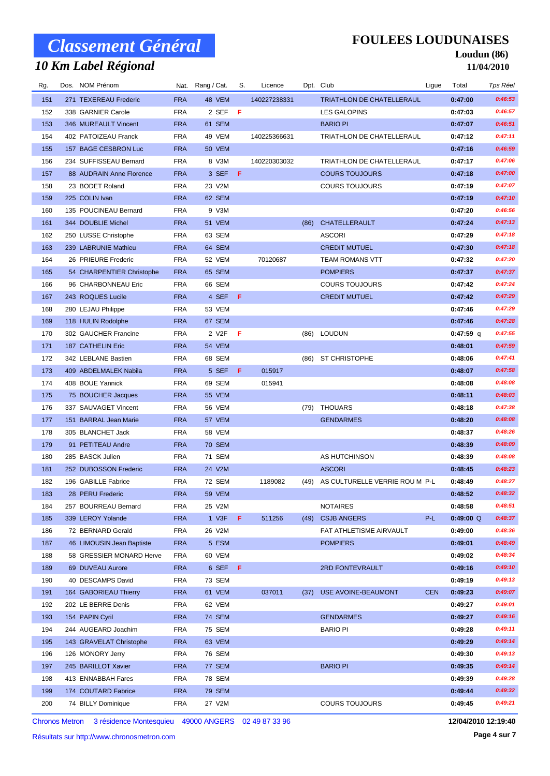## *10 Km Label Régional*

**FOULEES LOUDUNAISES**

#### **Loudun (86) 11/04/2010**

| Rg. | Dos. NOM Prénom           |            | Nat. Rang / Cat.   | S.  | Licence      |      | Dpt. Club                      | Ligue      | Total       | Tps Réel |
|-----|---------------------------|------------|--------------------|-----|--------------|------|--------------------------------|------------|-------------|----------|
| 151 | 271 TEXEREAU Frederic     | <b>FRA</b> | 48 VEM             |     | 140227238331 |      | TRIATHLON DE CHATELLERAUL      |            | 0:47:00     | 0:46:53  |
| 152 | 338 GARNIER Carole        | <b>FRA</b> | 2 SEF              | - F |              |      | LES GALOPINS                   |            | 0:47:03     | 0:46:57  |
| 153 | 346 MUREAULT Vincent      | <b>FRA</b> | 61 SEM             |     |              |      | <b>BARIO PI</b>                |            | 0:47:07     | 0:46:51  |
| 154 | 402 PATOIZEAU Franck      | <b>FRA</b> | 49 VEM             |     | 140225366631 |      | TRIATHLON DE CHATELLERAUL      |            | 0:47:12     | 0:47:11  |
| 155 | 157 BAGE CESBRON Luc      | <b>FRA</b> | 50 VEM             |     |              |      |                                |            | 0:47:16     | 0:46:59  |
| 156 | 234 SUFFISSEAU Bernard    | <b>FRA</b> | 8 V3M              |     | 140220303032 |      | TRIATHLON DE CHATELLERAUL      |            | 0:47:17     | 0:47:06  |
| 157 | 88 AUDRAIN Anne Florence  | <b>FRA</b> | 3 SEF              | - F |              |      | <b>COURS TOUJOURS</b>          |            | 0:47:18     | 0:47:00  |
| 158 | 23 BODET Roland           | <b>FRA</b> | 23 V2M             |     |              |      | <b>COURS TOUJOURS</b>          |            | 0:47:19     | 0:47:07  |
| 159 | 225 COLIN Ivan            | <b>FRA</b> | 62 SEM             |     |              |      |                                |            | 0:47:19     | 0:47:10  |
| 160 | 135 POUCINEAU Bernard     | <b>FRA</b> | 9 V3M              |     |              |      |                                |            | 0:47:20     | 0:46:56  |
| 161 | 344 DOUBLIE Michel        | <b>FRA</b> | 51 VEM             |     |              | (86) | CHATELLERAULT                  |            | 0:47:24     | 0:47:13  |
| 162 | 250 LUSSE Christophe      | <b>FRA</b> | 63 SEM             |     |              |      | <b>ASCORI</b>                  |            | 0:47:29     | 0:47:18  |
| 163 | 239 LABRUNIE Mathieu      | <b>FRA</b> | 64 SEM             |     |              |      | <b>CREDIT MUTUEL</b>           |            | 0:47:30     | 0:47:18  |
| 164 | 26 PRIEURE Frederic       | <b>FRA</b> | 52 VEM             |     | 70120687     |      | <b>TEAM ROMANS VTT</b>         |            | 0:47:32     | 0:47:20  |
| 165 | 54 CHARPENTIER Christophe | <b>FRA</b> | 65 SEM             |     |              |      | <b>POMPIERS</b>                |            | 0:47:37     | 0:47:37  |
| 166 | 96 CHARBONNEAU Eric       | <b>FRA</b> | 66 SEM             |     |              |      | <b>COURS TOUJOURS</b>          |            | 0:47:42     | 0:47:24  |
| 167 | 243 ROQUES Lucile         | <b>FRA</b> | 4 SEF F            |     |              |      | <b>CREDIT MUTUEL</b>           |            | 0:47:42     | 0:47:29  |
| 168 | 280 LEJAU Philippe        | <b>FRA</b> | 53 VEM             |     |              |      |                                |            | 0:47:46     | 0:47:29  |
| 169 | 118 HULIN Rodolphe        | <b>FRA</b> | 67 SEM             |     |              |      |                                |            | 0:47:46     | 0:47:28  |
| 170 | 302 GAUCHER Francine      | <b>FRA</b> | 2 V <sub>2</sub> F | -F  |              | (86) | LOUDUN                         |            | $0:47:59$ q | 0:47:55  |
| 171 | 187 CATHELIN Eric         | <b>FRA</b> | 54 VEM             |     |              |      |                                |            | 0:48:01     | 0:47:59  |
| 172 | 342 LEBLANE Bastien       | <b>FRA</b> | 68 SEM             |     |              |      | (86) ST CHRISTOPHE             |            | 0:48:06     | 0:47:41  |
| 173 | 409 ABDELMALEK Nabila     | <b>FRA</b> | 5 SEF              | - F | 015917       |      |                                |            | 0:48:07     | 0:47:58  |
| 174 | 408 BOUE Yannick          | <b>FRA</b> | 69 SEM             |     | 015941       |      |                                |            | 0:48:08     | 0:48:08  |
| 175 | 75 BOUCHER Jacques        | <b>FRA</b> | 55 VEM             |     |              |      |                                |            | 0:48:11     | 0:48:03  |
| 176 | 337 SAUVAGET Vincent      | <b>FRA</b> | <b>56 VEM</b>      |     |              | (79) | THOUARS                        |            | 0:48:18     | 0:47:38  |
| 177 | 151 BARRAL Jean Marie     | <b>FRA</b> | 57 VEM             |     |              |      | <b>GENDARMES</b>               |            | 0:48:20     | 0:48:08  |
| 178 | 305 BLANCHET Jack         | <b>FRA</b> | 58 VEM             |     |              |      |                                |            | 0:48:37     | 0:48:26  |
| 179 | 91 PETITEAU Andre         | <b>FRA</b> | <b>70 SEM</b>      |     |              |      |                                |            | 0:48:39     | 0:48:09  |
| 180 | 285 BASCK Julien          | <b>FRA</b> | 71 SEM             |     |              |      | AS HUTCHINSON                  |            | 0:48:39     | 0:48:08  |
| 181 | 252 DUBOSSON Frederic     | <b>FRA</b> | 24 V2M             |     |              |      | <b>ASCORI</b>                  |            | 0:48:45     | 0:48:23  |
| 182 | 196 GABILLE Fabrice       | <b>FRA</b> | 72 SEM             |     | 1189082      | (49) | AS CULTURELLE VERRIE ROU M P-L |            | 0:48:49     | 0:48:27  |
| 183 | 28 PERU Frederic          | <b>FRA</b> | <b>59 VEM</b>      |     |              |      |                                |            | 0:48:52     | 0:48:32  |
| 184 | 257 BOURREAU Bernard      | FRA        | 25 V2M             |     |              |      | <b>NOTAIRES</b>                |            | 0:48:58     | 0:48:51  |
| 185 | 339 LEROY Yolande         | <b>FRA</b> | 1 V3F              | F.  | 511256       | (49) | <b>CSJB ANGERS</b>             | $P-L$      | $0:49:00$ Q | 0:48:37  |
| 186 | 72 BERNARD Gerald         | <b>FRA</b> | 26 V2M             |     |              |      | FAT ATHLETISME AIRVAULT        |            | 0:49:00     | 0:48:36  |
| 187 | 46 LIMOUSIN Jean Baptiste | <b>FRA</b> | 5 ESM              |     |              |      | <b>POMPIERS</b>                |            | 0:49:01     | 0:48:49  |
| 188 | 58 GRESSIER MONARD Herve  | <b>FRA</b> | 60 VEM             |     |              |      |                                |            | 0:49:02     | 0:48:34  |
| 189 | 69 DUVEAU Aurore          | <b>FRA</b> | 6 SEF F            |     |              |      | 2RD FONTEVRAULT                |            | 0:49:16     | 0:49:10  |
| 190 | 40 DESCAMPS David         | FRA        | 73 SEM             |     |              |      |                                |            | 0:49:19     | 0:49:13  |
| 191 | 164 GABORIEAU Thierry     | <b>FRA</b> | 61 VEM             |     | 037011       | (37) | USE AVOINE-BEAUMONT            | <b>CEN</b> | 0:49:23     | 0:49:07  |
| 192 | 202 LE BERRE Denis        | FRA        | 62 VEM             |     |              |      |                                |            | 0:49:27     | 0:49:01  |
| 193 | 154 PAPIN Cyril           | <b>FRA</b> | 74 SEM             |     |              |      | <b>GENDARMES</b>               |            | 0:49:27     | 0:49:16  |
| 194 | 244 AUGEARD Joachim       | FRA        | 75 SEM             |     |              |      | <b>BARIO PI</b>                |            | 0:49:28     | 0:49:11  |
| 195 | 143 GRAVELAT Christophe   | <b>FRA</b> | 63 VEM             |     |              |      |                                |            | 0:49:29     | 0:49:14  |
| 196 | 126 MONORY Jerry          | FRA        | 76 SEM             |     |              |      |                                |            | 0:49:30     | 0:49:13  |
| 197 | 245 BARILLOT Xavier       | <b>FRA</b> | 77 SEM             |     |              |      | <b>BARIO PI</b>                |            | 0:49:35     | 0:49:14  |
| 198 | 413 ENNABBAH Fares        | FRA        | 78 SEM             |     |              |      |                                |            | 0:49:39     | 0:49:28  |
| 199 | 174 COUTARD Fabrice       | <b>FRA</b> | 79 SEM             |     |              |      |                                |            | 0:49:44     | 0:49:32  |
| 200 | 74 BILLY Dominique        | <b>FRA</b> | 27 V2M             |     |              |      | <b>COURS TOUJOURS</b>          |            | 0:49:45     | 0:49:21  |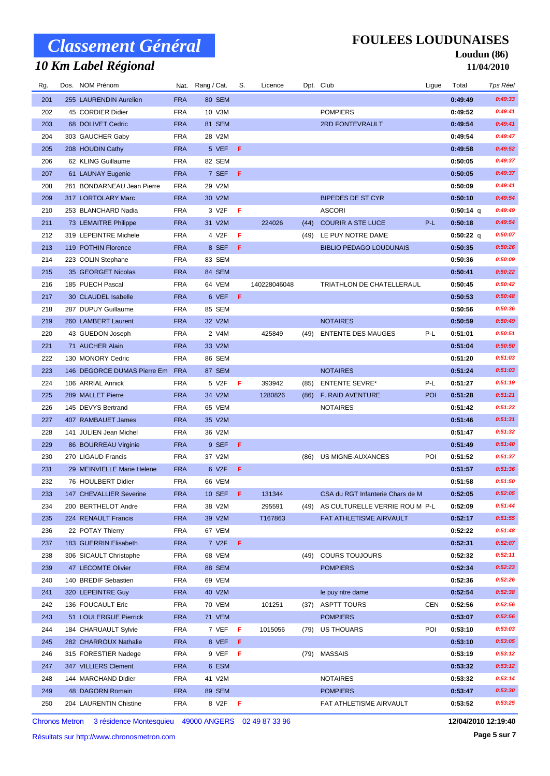## *10 Km Label Régional*

### **FOULEES LOUDUNAISES**

#### **Loudun (86) 11/04/2010**

| Rg. | Dos. NOM Prénom             |            | Nat. Rang / Cat.   | S.  | Licence      |      | Dpt. Club                        | Ligue      | Total       | Tps Réel |
|-----|-----------------------------|------------|--------------------|-----|--------------|------|----------------------------------|------------|-------------|----------|
| 201 | 255 LAURENDIN Aurelien      | <b>FRA</b> | 80 SEM             |     |              |      |                                  |            | 0:49:49     | 0:49:33  |
| 202 | 45 CORDIER Didier           | <b>FRA</b> | 10 V3M             |     |              |      | <b>POMPIERS</b>                  |            | 0:49:52     | 0:49:41  |
| 203 | 68 DOLIVET Cedric           | <b>FRA</b> | 81 SEM             |     |              |      | 2RD FONTEVRAULT                  |            | 0:49:54     | 0:49:41  |
| 204 | 303 GAUCHER Gaby            | <b>FRA</b> | 28 V2M             |     |              |      |                                  |            | 0:49:54     | 0:49:47  |
| 205 | 208 HOUDIN Cathy            | <b>FRA</b> | 5 VEF              | -F. |              |      |                                  |            | 0:49:58     | 0:49:52  |
| 206 | 62 KLING Guillaume          | <b>FRA</b> | 82 SEM             |     |              |      |                                  |            | 0:50:05     | 0:49:37  |
| 207 | 61 LAUNAY Eugenie           | <b>FRA</b> | 7 SEF              | - F |              |      |                                  |            | 0:50:05     | 0:49:37  |
| 208 | 261 BONDARNEAU Jean Pierre  | <b>FRA</b> | 29 V2M             |     |              |      |                                  |            | 0:50:09     | 0:49:41  |
| 209 | 317 LORTOLARY Marc          | <b>FRA</b> | 30 V2M             |     |              |      | <b>BIPEDES DE ST CYR</b>         |            | 0:50:10     | 0:49:54  |
| 210 | 253 BLANCHARD Nadia         | FRA        | 3 V <sub>2</sub> F | F   |              |      | <b>ASCORI</b>                    |            | $0:50:14$ q | 0:49:49  |
| 211 | 73 LEMAITRE Philippe        | <b>FRA</b> | 31 V2M             |     | 224026       | (44) | <b>COURIR A STE LUCE</b>         | $P-L$      | 0:50:18     | 0:49:54  |
| 212 | 319 LEPEINTRE Michele       | <b>FRA</b> | 4 V2F              | F   |              | (49) | LE PUY NOTRE DAME                |            | 0:50:22 q   | 0:50:07  |
| 213 | 119 POTHIN Florence         | <b>FRA</b> | 8 SEF              | F.  |              |      | <b>BIBLIO PEDAGO LOUDUNAIS</b>   |            | 0:50:35     | 0:50:26  |
| 214 | 223 COLIN Stephane          | FRA        | 83 SEM             |     |              |      |                                  |            | 0:50:36     | 0:50:09  |
| 215 | 35 GEORGET Nicolas          | <b>FRA</b> | 84 SEM             |     |              |      |                                  |            | 0:50:41     | 0:50:22  |
| 216 | 185 PUECH Pascal            | <b>FRA</b> | 64 VEM             |     | 140228046048 |      | TRIATHLON DE CHATELLERAUL        |            | 0:50:45     | 0:50:42  |
| 217 | 30 CLAUDEL Isabelle         | <b>FRA</b> | 6 VEF              | - F |              |      |                                  |            | 0:50:53     | 0:50:48  |
| 218 | 287 DUPUY Guillaume         | <b>FRA</b> | 85 SEM             |     |              |      |                                  |            | 0:50:56     | 0:50:36  |
| 219 | 260 LAMBERT Laurent         | <b>FRA</b> | 32 V2M             |     |              |      | <b>NOTAIRES</b>                  |            | 0:50:59     | 0:50:49  |
| 220 | 43 GUEDON Joseph            | <b>FRA</b> | 2 V4M              |     | 425849       | (49) | <b>ENTENTE DES MAUGES</b>        | P-L        | 0:51:01     | 0:50:51  |
| 221 | 71 AUCHER Alain             | <b>FRA</b> | 33 V2M             |     |              |      |                                  |            | 0:51:04     | 0:50:50  |
| 222 | 130 MONORY Cedric           | <b>FRA</b> | 86 SEM             |     |              |      |                                  |            | 0:51:20     | 0:51:03  |
| 223 | 146 DEGORCE DUMAS Pierre Em | <b>FRA</b> | 87 SEM             |     |              |      | <b>NOTAIRES</b>                  |            | 0:51:24     | 0:51:03  |
| 224 | 106 ARRIAL Annick           | <b>FRA</b> | 5 V2F              | F   | 393942       | (85) | <b>ENTENTE SEVRE*</b>            | P-L        | 0:51:27     | 0:51:19  |
| 225 | 289 MALLET Pierre           | <b>FRA</b> | 34 V2M             |     | 1280826      | (86) | F. RAID AVENTURE                 | POI        | 0:51:28     | 0:51:21  |
| 226 | 145 DEVYS Bertrand          | <b>FRA</b> | 65 VEM             |     |              |      | <b>NOTAIRES</b>                  |            | 0:51:42     | 0:51:23  |
| 227 | 407 RAMBAUET James          | <b>FRA</b> | 35 V2M             |     |              |      |                                  |            | 0:51:46     | 0:51:31  |
| 228 | 141 JULIEN Jean Michel      | <b>FRA</b> | 36 V2M             |     |              |      |                                  |            | 0:51:47     | 0:51:32  |
| 229 | 86 BOURREAU Virginie        | <b>FRA</b> | 9 SEF              | F   |              |      |                                  |            | 0:51:49     | 0:51:40  |
| 230 | 270 LIGAUD Francis          | <b>FRA</b> | 37 V2M             |     |              | (86) | US MIGNE-AUXANCES                | POI        | 0:51:52     | 0:51:37  |
| 231 | 29 MEINVIELLE Marie Helene  | <b>FRA</b> | 6 V2F              | F   |              |      |                                  |            | 0:51:57     | 0:51:36  |
| 232 | 76 HOULBERT Didier          | FRA        | 66 VEM             |     |              |      |                                  |            | 0:51:58     | 0:51:50  |
| 233 | 147 CHEVALLIER Severine     | <b>FRA</b> | 10 SEF             | F   | 131344       |      | CSA du RGT Infanterie Chars de M |            | 0:52:05     | 0:52:05  |
| 234 | 200 BERTHELOT Andre         | FRA        | 38 V2M             |     | 295591       | (49) | AS CULTURELLE VERRIE ROU M P-L   |            | 0:52:09     | 0:51:44  |
| 235 | 224 RENAULT Francis         | <b>FRA</b> | 39 V2M             |     | T167863      |      | FAT ATHLETISME AIRVAULT          |            | 0:52:17     | 0:51:55  |
| 236 | 22 POTAY Thierry            | FRA        | 67 VEM             |     |              |      |                                  |            | 0:52:22     | 0:51:48  |
| 237 | 183 GUERRIN Elisabeth       | <b>FRA</b> | 7 V <sub>2</sub> F | F.  |              |      |                                  |            | 0:52:31     | 0:52:07  |
| 238 | 306 SICAULT Christophe      | FRA        | 68 VEM             |     |              | (49) | <b>COURS TOUJOURS</b>            |            | 0:52:32     | 0:52:11  |
| 239 | 47 LECOMTE Olivier          | <b>FRA</b> | 88 SEM             |     |              |      | <b>POMPIERS</b>                  |            | 0:52:34     | 0:52:23  |
| 240 | 140 BREDIF Sebastien        | FRA        | 69 VEM             |     |              |      |                                  |            | 0:52:36     | 0:52:26  |
| 241 | 320 LEPEINTRE Guy           | <b>FRA</b> | 40 V2M             |     |              |      | le puy ntre dame                 |            | 0:52:54     | 0:52:38  |
| 242 | 136 FOUCAULT Eric           | FRA        | 70 VEM             |     | 101251       | (37) | ASPTT TOURS                      | <b>CEN</b> | 0:52:56     | 0:52:56  |
| 243 | 51 LOULERGUE Pierrick       | <b>FRA</b> | 71 VEM             |     |              |      | <b>POMPIERS</b>                  |            | 0:53:07     | 0:52:56  |
| 244 | 184 CHARUAULT Sylvie        | FRA        | 7 VEF              | - F | 1015056      | (79) | US THOUARS                       | POI        | 0:53:10     | 0:53:03  |
| 245 | 282 CHARROUX Nathalie       | <b>FRA</b> | 8 VEF              | F   |              |      |                                  |            | 0:53:10     | 0:53:05  |
| 246 | 315 FORESTIER Nadege        | FRA        | 9 VEF              | F   |              | (79) | <b>MASSAIS</b>                   |            | 0:53:19     | 0:53:12  |
| 247 | 347 VILLIERS Clement        | <b>FRA</b> | 6 ESM              |     |              |      |                                  |            | 0:53:32     | 0:53:12  |
| 248 | 144 MARCHAND Didier         | FRA        | 41 V2M             |     |              |      | <b>NOTAIRES</b>                  |            | 0:53:32     | 0:53:14  |
| 249 | 48 DAGORN Romain            | <b>FRA</b> | 89 SEM             |     |              |      | <b>POMPIERS</b>                  |            | 0:53:47     | 0:53:30  |
| 250 | 204 LAURENTIN Chistine      | <b>FRA</b> | 8 V2F              | F   |              |      | FAT ATHLETISME AIRVAULT          |            | 0:53:52     | 0:53:25  |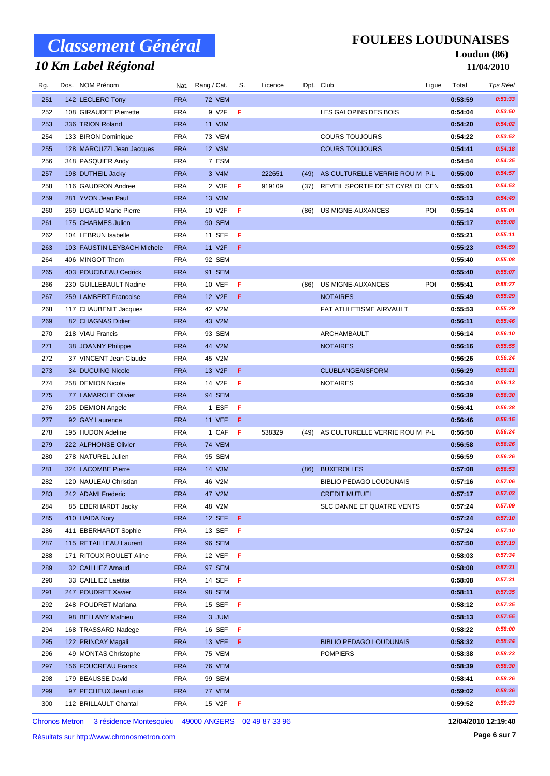## *10 Km Label Régional*

### **FOULEES LOUDUNAISES**

#### **Loudun (86) 11/04/2010**

| Rg.        | Dos. NOM Prénom                        |                          | Nat. Rang / Cat. | S.  | Licence |      | Dpt. Club                                  | Ligue | Total              | Tps Réel           |
|------------|----------------------------------------|--------------------------|------------------|-----|---------|------|--------------------------------------------|-------|--------------------|--------------------|
| 251        | 142 LECLERC Tony                       | <b>FRA</b>               | 72 VEM           |     |         |      |                                            |       | 0:53:59            | 0:53:33            |
| 252        | 108 GIRAUDET Pierrette                 | <b>FRA</b>               | 9 V2F            | F   |         |      | LES GALOPINS DES BOIS                      |       | 0:54:04            | 0:53:50            |
| 253        | 336 TRION Roland                       | <b>FRA</b>               | 11 V3M           |     |         |      |                                            |       | 0:54:20            | 0:54:02            |
| 254        | 133 BIRON Dominique                    | <b>FRA</b>               | 73 VEM           |     |         |      | <b>COURS TOUJOURS</b>                      |       | 0:54:22            | 0:53:52            |
| 255        | 128 MARCUZZI Jean Jacques              | <b>FRA</b>               | 12 V3M           |     |         |      | <b>COURS TOUJOURS</b>                      |       | 0:54:41            | 0:54:18            |
| 256        | 348 PASQUIER Andy                      | <b>FRA</b>               | 7 ESM            |     |         |      |                                            |       | 0:54:54            | 0:54:35            |
| 257        | 198 DUTHEIL Jacky                      | <b>FRA</b>               | 3 V4M            |     | 222651  | (49) | AS CULTURELLE VERRIE ROU M P-L             |       | 0:55:00            | 0:54:57            |
| 258        | 116 GAUDRON Andree                     | <b>FRA</b>               | 2 V3F            | F   | 919109  | (37) | REVEIL SPORTIF DE ST CYR/LOI CEN           |       | 0:55:01            | 0:54:53            |
| 259        | 281 YVON Jean Paul                     | <b>FRA</b>               | 13 V3M           |     |         |      |                                            |       | 0:55:13            | 0:54:49            |
| 260        | 269 LIGAUD Marie Pierre                | <b>FRA</b>               | 10 V2F           | -F  |         | (86) | US MIGNE-AUXANCES                          | POI   | 0:55:14            | 0:55:01            |
| 261        | 175 CHARMES Julien                     | <b>FRA</b>               | 90 SEM           |     |         |      |                                            |       | 0:55:17            | 0:55:08            |
| 262        | 104 LEBRUN Isabelle                    | <b>FRA</b>               | 11 SEF           | F   |         |      |                                            |       | 0:55:21            | 0:55:11            |
| 263        | 103 FAUSTIN LEYBACH Michele            | <b>FRA</b>               | 11 V2F           | -F  |         |      |                                            |       | 0:55:23            | 0:54:59            |
| 264        | 406 MINGOT Thom                        | <b>FRA</b>               | 92 SEM           |     |         |      |                                            |       | 0:55:40            | 0:55:08            |
| 265        | 403 POUCINEAU Cedrick                  | <b>FRA</b>               | 91 SEM           |     |         |      |                                            |       | 0:55:40            | 0:55:07            |
| 266        | 230 GUILLEBAULT Nadine                 | <b>FRA</b>               | 10 VEF           | F   |         | (86) | US MIGNE-AUXANCES                          | POI   | 0:55:41            | 0:55:27            |
| 267        | 259 LAMBERT Francoise                  | <b>FRA</b>               | 12 V2F           | -F  |         |      | <b>NOTAIRES</b>                            |       | 0:55:49            | 0:55:29            |
| 268        | 117 CHAUBENIT Jacques                  | <b>FRA</b>               | 42 V2M           |     |         |      | FAT ATHLETISME AIRVAULT                    |       | 0:55:53            | 0:55:29            |
| 269        | 82 CHAGNAS Didier                      | <b>FRA</b>               | 43 V2M           |     |         |      |                                            |       | 0:56:11            | 0:55:46            |
| 270        | 218 VIAU Francis                       | <b>FRA</b>               | 93 SEM           |     |         |      | ARCHAMBAULT                                |       | 0:56:14            | 0:56:10<br>0:55:55 |
| 271        | 38 JOANNY Philippe                     | <b>FRA</b><br><b>FRA</b> | 44 V2M<br>45 V2M |     |         |      | <b>NOTAIRES</b>                            |       | 0:56:16<br>0:56:26 | 0:56:24            |
| 272        | 37 VINCENT Jean Claude                 | <b>FRA</b>               |                  | -F  |         |      |                                            |       | 0:56:29            | 0:56:21            |
| 273        | 34 DUCUING Nicole<br>258 DEMION Nicole |                          | 13 V2F<br>14 V2F | F   |         |      | <b>CLUBLANGEAISFORM</b><br><b>NOTAIRES</b> |       | 0:56:34            | 0:56:13            |
| 274<br>275 | 77 LAMARCHE Olivier                    | <b>FRA</b><br><b>FRA</b> | 94 SEM           |     |         |      |                                            |       | 0:56:39            | 0:56:30            |
| 276        | 205 DEMION Angele                      | <b>FRA</b>               | 1 ESF            | F   |         |      |                                            |       | 0:56:41            | 0:56:38            |
| 277        | 92 GAY Laurence                        | <b>FRA</b>               | <b>11 VEF</b>    | -F  |         |      |                                            |       | 0:56:46            | 0:56:15            |
| 278        | 195 HUDON Adeline                      | <b>FRA</b>               | 1 CAF            | - F | 538329  | (49) | AS CULTURELLE VERRIE ROU M P-L             |       | 0:56:50            | 0:56:24            |
| 279        | 222 ALPHONSE Olivier                   | <b>FRA</b>               | <b>74 VEM</b>    |     |         |      |                                            |       | 0:56:58            | 0:56:26            |
| 280        | 278 NATUREL Julien                     | <b>FRA</b>               | 95 SEM           |     |         |      |                                            |       | 0:56:59            | 0:56:26            |
| 281        | 324 LACOMBE Pierre                     | <b>FRA</b>               | 14 V3M           |     |         | (86) | <b>BUXEROLLES</b>                          |       | 0:57:08            | 0:56:53            |
| 282        | 120 NAULEAU Christian                  | <b>FRA</b>               | 46 V2M           |     |         |      | <b>BIBLIO PEDAGO LOUDUNAIS</b>             |       | 0:57:16            | 0:57:06            |
| 283        | 242 ADAMI Frederic                     | <b>FRA</b>               | 47 V2M           |     |         |      | <b>CREDIT MUTUEL</b>                       |       | 0:57:17            | 0:57:03            |
| 284        | 85 EBERHARDT Jacky                     | <b>FRA</b>               | 48 V2M           |     |         |      | SLC DANNE ET QUATRE VENTS                  |       | 0:57:24            | 0:57:09            |
| 285        | 410 HAIDA Nory                         | <b>FRA</b>               | 12 SEF $F$       |     |         |      |                                            |       | 0:57:24            | 0:57:10            |
| 286        | 411 EBERHARDT Sophie                   | <b>FRA</b>               | 13 SEF           | - F |         |      |                                            |       | 0:57:24            | 0:57:10            |
| 287        | 115 RETAILLEAU Laurent                 | <b>FRA</b>               | <b>96 SEM</b>    |     |         |      |                                            |       | 0:57:50            | 0:57:19            |
| 288        | 171 RITOUX ROULET Aline                | <b>FRA</b>               | 12 VEF           | - F |         |      |                                            |       | 0:58:03            | 0:57:34            |
| 289        | 32 CAILLIEZ Arnaud                     | <b>FRA</b>               | 97 SEM           |     |         |      |                                            |       | 0:58:08            | 0:57:31            |
| 290        | 33 CAILLIEZ Laetitia                   | <b>FRA</b>               | 14 SEF <b>F</b>  |     |         |      |                                            |       | 0:58:08            | 0:57:31            |
| 291        | 247 POUDRET Xavier                     | <b>FRA</b>               | 98 SEM           |     |         |      |                                            |       | 0:58:11            | 0:57:35            |
| 292        | 248 POUDRET Mariana                    | <b>FRA</b>               | 15 SEF           | - F |         |      |                                            |       | 0:58:12            | 0:57:35            |
| 293        | 98 BELLAMY Mathieu                     | <b>FRA</b>               | 3 JUM            |     |         |      |                                            |       | 0:58:13            | 0:57:55            |
| 294        | 168 TRASSARD Nadege                    | <b>FRA</b>               | 16 SEF           | - F |         |      |                                            |       | 0:58:22            | 0:58:00            |
| 295        | 122 PRINCAY Magali                     | <b>FRA</b>               | 13 VEF <b>F</b>  |     |         |      | <b>BIBLIO PEDAGO LOUDUNAIS</b>             |       | 0:58:32            | 0:58:24            |
| 296        | 49 MONTAS Christophe                   | <b>FRA</b>               | 75 VEM           |     |         |      | <b>POMPIERS</b>                            |       | 0:58:38            | 0:58:23            |
| 297        | 156 FOUCREAU Franck                    | <b>FRA</b>               | 76 VEM           |     |         |      |                                            |       | 0:58:39            | 0:58:30            |
| 298        | 179 BEAUSSE David                      | <b>FRA</b>               | 99 SEM           |     |         |      |                                            |       | 0:58:41            | 0:58:26            |
| 299        | 97 PECHEUX Jean Louis                  | <b>FRA</b>               | 77 VEM           |     |         |      |                                            |       | 0:59:02            | 0:58:36            |
| 300        | 112 BRILLAULT Chantal                  | <b>FRA</b>               | 15 V2F <b>F</b>  |     |         |      |                                            |       | 0:59:52            | 0:59:23            |

Chronos Metron 3 résidence Montesquieu 49000 ANGERS 02 49 87 33 96

**12/04/2010 12:19:40**